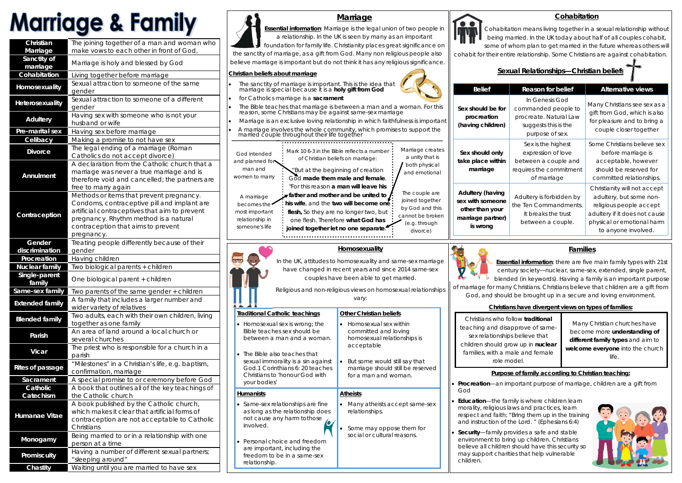# **Marriage & Family**

| Christian               | The joining together of a man and woman who                    |  |
|-------------------------|----------------------------------------------------------------|--|
| Marriage                | make vows to each other in front of God,                       |  |
| Sanctity of             |                                                                |  |
| marriage                | Marriage is holy and blessed by God                            |  |
| Cohabitation            | Living together before marriage                                |  |
|                         | Sexual attraction to someone of the same                       |  |
| Homosexuality           | gender                                                         |  |
|                         | Sexual attraction to someone of a different                    |  |
| Heterosexuality         | gender                                                         |  |
|                         | Having sex with someone who is not your                        |  |
| <b>Adultery</b>         | husband or wife                                                |  |
| Pre-marital sex         | Having sex before marriage                                     |  |
| Celibacy                | Making a promise to not have sex                               |  |
|                         | The legal ending of a marriage (Roman                          |  |
| <b>Divorce</b>          | Catholics do not accept divorce)                               |  |
|                         | A declaration from the Catholic church that a                  |  |
|                         | marriage was never a true marriage and is                      |  |
| <b>Annulment</b>        | therefore void and cancelled; the partners are                 |  |
|                         |                                                                |  |
|                         | free to marry again                                            |  |
|                         | Methods or items that prevent pregnancy.                       |  |
|                         | Condoms, contraceptive pill and implant are                    |  |
| Contraception           | artificial contraceptives that aim to prevent                  |  |
|                         | pregnancy. Rhythm method is a natural                          |  |
|                         | contraception that aims to prevent                             |  |
|                         | pregnancy.                                                     |  |
| Gender                  | Treating people differently because of their                   |  |
| discrimination          | gender                                                         |  |
| Procreation             | Having children                                                |  |
| <b>Nuclear family</b>   | Two biological parents + children                              |  |
| Single-parent           |                                                                |  |
| family                  | One biological parent + children                               |  |
| Same-sex family         | Two parents of the same gender + children                      |  |
|                         | A family that includes a larger number and                     |  |
| <b>Extended family</b>  |                                                                |  |
|                         |                                                                |  |
|                         | wider variety of relatives                                     |  |
| <b>Blended family</b>   | Two adults, each with their own children, living               |  |
|                         | together as one family                                         |  |
| Parish                  | An area of land around a local church or                       |  |
|                         | several churches                                               |  |
| <b>Vicar</b>            | The priest who is responsible for a church in a                |  |
|                         | parish                                                         |  |
| <b>Rites of passage</b> | "Milestones" in a Christian's life, e.g. baptism,              |  |
|                         | confirmation, marriage                                         |  |
| Sacrament               | A special promise to or ceremony before God                    |  |
| Catholic                | A book that outlines all of the key teachings of               |  |
| Catechism               | the Catholic church                                            |  |
|                         | A book published by the Catholic church,                       |  |
|                         | which makes it clear that artificial forms of                  |  |
| Humanae Vitae           | contraception are not acceptable to Catholic                   |  |
|                         | Christians                                                     |  |
|                         | Being married to or in a relationship with one                 |  |
| Monogamy                | person at a time                                               |  |
|                         |                                                                |  |
| Promiscuity             | Having a number of different sexual partners;                  |  |
| Chastity                | "sleeping around"<br>Waiting until you are married to have sex |  |

- $\bullet$ God
- $\bullet$
- $\bullet$ children.

# **Marriage**

**Essential information**: Marriage is the legal union of two people in a relationship. In the UK is seen by many as an important foundation for family life. Christianity places great significance on

the sanctity of marriage, as a gift from God. Many non religious people also believe marriage is important but do not think it has any religious significance.

### **Christian beliefs about marriage**

 $\bullet$ 

 $\bullet$ 

# **Homosexuality**

In the UK, attitudes to homosexuality and same-sex marriage have changed in recent years and since 2014 same-sex couples have been able to get married.



Religious and non-religious views on homosexual relationships vary:

# **Families**

**Essential information**: there are five main family types with 21st century society—nuclear, same-sex, extended, single parent, ۱V blended (in keywords). Having a family is an important purpose of marriage for many Christians. Christians believe that children are a gift from God, and should be brought up in a secure and loving environment.

## **Christians have divergent views on types of families:**

## **Purpose of family according to Christian teaching:**

**Procreation**—an important purpose of marriage, children are a gift from

 **Education**—the family is where children learn morality, religious laws and practices, learn respect and faith; "*Bring them up in the training and instruction of the Lord.* " (Ephesians 6:4)

 **Security**—family provides a safe and stable environment to bring up children. Christians believe all children should have this security so may support charities that help vulnerable



# **Cohabitation**

Cohabitation means living together in a sexual relationship without being married. In the UK today about half of all couples cohabit, some of whom plan to get married in the future whereas others will cohabit for their entire relationship. Some Christians are against cohabitation.

# **Sexual Relationships—Christian beliefs**

# Mark 10 6-3 in the Bible reflects a number of Christian beliefs on marriage: "But at the beginning of creation God **made them male and female**. "For this reason **a man will leave his father and mother and be united to his wife**, and the **two will become one flesh,** So they are no longer two, but

*God intended and planned for man and women to marry* 

*A marriage becomes the most important relationship in someone's life* 

- $\bullet$  The sanctity of marriage is important. This is the idea that marriage is special because it is a **holy gift from God**
	- for Catholics marriage is a **sacrament**
- $\bullet$ The Bible teaches that marriage is between a man and a woman. For this reason, some Christians may be against same-sex marriage
- Marriage is an exclusive loving relationship in which faithfulness is important
- A marriage involves the whole community, which promises to support the married couple throughout their life together  $\bullet$

*The couple are joined together by God and this cannot be broken*  one flesh. Therefore **what God has**  *(e.g. through*  **joined together let no one separate**." 

*divorce)* 



| Belief                                                         | <b>Reason for belief</b>                                                                                   | <b>Alternative views</b>                                                                                                                                                 |
|----------------------------------------------------------------|------------------------------------------------------------------------------------------------------------|--------------------------------------------------------------------------------------------------------------------------------------------------------------------------|
| ould be for<br>creation<br>g children)                         | In Genesis God<br>commanded people to<br>procreate. Natural Law<br>suggests this is the<br>purpose of sex. | Many Christians see sex as a<br>gift from God, which is also<br>for pleasure and to bring a<br>couple closer together                                                    |
| hould only<br>lace within<br>arriage                           | Sex is the highest<br>expression of love<br>between a couple and<br>requires the commitment<br>of marriage | Some Christians believe sex<br>before marriage is<br>acceptable, however<br>should be reserved for<br>committed relationships.                                           |
| ery (having<br>th someone<br>than your<br>ge partner)<br>wrong | Adultery is forbidden by<br>the Ten Commandments.<br>It breaks the trust<br>between a couple.              | Christianity will not accept<br>adultery, but some non-<br>religious people accept<br>adultery if it does not cause<br>physical or emotional harm<br>to anyone involved. |

**sex with someone other than your** 



#### **Traditional Catholic teachings**  Homosexual sex is wrong; the **Other Christian beliefs** • Homosexual sex within committed and loving

homosexual relationships is

acceptable

- Bible teaches sex should be between a man and a woman.
- $\bullet$  The Bible also teaches that sexual immorality is a sin against God.1 Corinthians 6: 20 teaches Christians to 'honour God with your bodies'
- **Humanists**  • Same-sex relationships are fine as long as the relationship does **Atheists**   $\bullet$
- not cause any harm tothose involved.
- $\bullet$  Personal choice and freedom are important, including the freedom to be in a same-sex relationship.





 But some would still say that marriage should still be reserved

for a man and woman.

Many atheists accept same-sex

relationships.

 $\bullet$ 

 $\bullet$ 

 Some may oppose them for social or cultural reasons.

Christians who follow **traditional**  teaching and disapprove of samesex relationships believe that children should grow up in **nuclear**  families, with a male and female role model.

Many Christian churches have become more **understanding of different family types** and aim to **welcome everyone** into the church life.